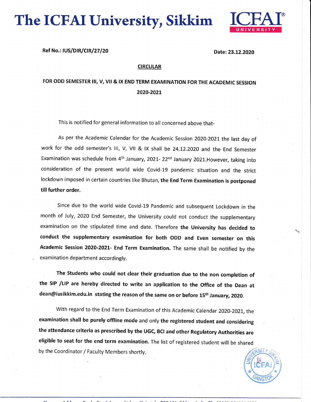The ICFAI University, Sikkim



Ref No.: IUS/DIR/CIR/27/20 Date: 23.12.2020

## **CIRCULAR**

## FOR ODD SEMESTER III, V, VII & IX END TERM EXAMINATION FOR THE ACADEMIC SESSION 2020-202L

This is notified for general information to all concerned above that-

As per the Academic Calendar for the Academic Session 2020-2021 the last day of work for the odd semester's III, V, VII & IX shall be 24.12.2020 and the End Semester Examination was schedule from 4<sup>th</sup> January, 2021- 22<sup>nd</sup> January 2021. However, taking into consideration of the present world wide Covid-19 pandemic situation and the strict lockdown imposed in certain countries like Bhutan, the End Term Examination is postponed till further order.

Since due to the world wide Covid-19 Pandemic and subsequent Lockdown in the month of July, 2020 End Semester, the University could not conduct the supplementary examination on the stipulated time and date. Therefore the University has decided to conduct the supplementary examination for both ODD and Even semester on this Academic Session 2020-2021- End Term Examination. The same shall be notified by the examination department accordingly.

The Students who could not clear their graduation due to the non completion of the SIP /LlP are hereby directed to write an application to the office of the Dean at dean@iusikkim.edu.in stating the reason of the same on or before 15<sup>th</sup> January, 2020.

With regard to the End Term Examination of this Academic Calendar 2020-2021, the examination shall be purely offline mode and only the registered student and considering the attendance criteria as prescribed by the UGc, BCI and other Regulatory Authorities are eligible to seat for the end term examination. The list of registered student will be shared by the Coordinator / Faculty Members shortly for the Coordinator  $\frac{1}{\frac{1}{K}}\sqrt{\frac{1}{1-\frac{1}{K}}\left(\frac{1}{1-\frac{1}{K}}\right)^{2/3}}$